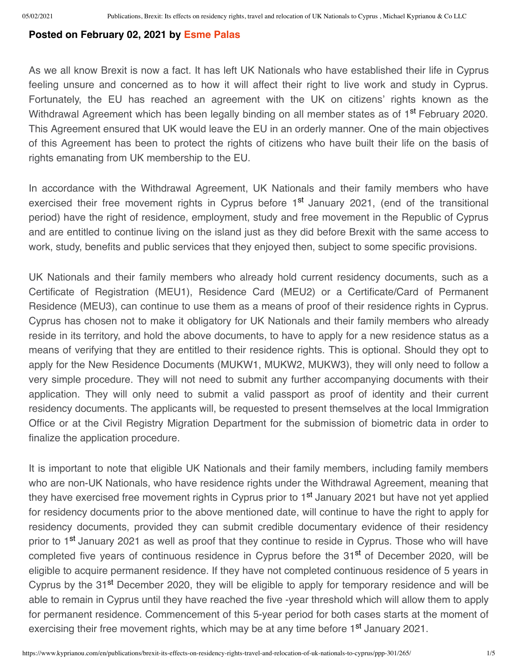## **Posted on February 02, 2021 by [Esme Palas](https://www.kyprianou.com/en/people/esme-palas/ppp-501/7/)**

As we all know Brexit is now a fact. It has left UK Nationals who have established their life in Cyprus feeling unsure and concerned as to how it will affect their right to live work and study in Cyprus. Fortunately, the EU has reached an agreement with the UK on citizens' rights known as the Withdrawal Agreement which has been legally binding on all member states as of 1<sup>st</sup> February 2020. This Agreement ensured that UK would leave the EU in an orderly manner. One of the main objectives of this Agreement has been to protect the rights of citizens who have built their life on the basis of rights emanating from UK membership to the EU.

In accordance with the Withdrawal Agreement, UK Nationals and their family members who have exercised their free movement rights in Cyprus before 1<sup>st</sup> January 2021, (end of the transitional period) have the right of residence, employment, study and free movement in the Republic of Cyprus and are entitled to continue living on the island just as they did before Brexit with the same access to work, study, benefits and public services that they enjoyed then, subject to some specific provisions.

UK Nationals and their family members who already hold current residency documents, such as a Certificate of Registration (MEU1), Residence Card (MEU2) or a Certificate/Card of Permanent Residence (MEU3), can continue to use them as a means of proof of their residence rights in Cyprus. Cyprus has chosen not to make it obligatory for UK Nationals and their family members who already reside in its territory, and hold the above documents, to have to apply for a new residence status as a means of verifying that they are entitled to their residence rights. This is optional. Should they opt to apply for the New Residence Documents (MUKW1, MUKW2, MUKW3), they will only need to follow a very simple procedure. They will not need to submit any further accompanying documents with their application. They will only need to submit a valid passport as proof of identity and their current residency documents. The applicants will, be requested to present themselves at the local Immigration Office or at the Civil Registry Migration Department for the submission of biometric data in order to finalize the application procedure.

It is important to note that eligible UK Nationals and their family members, including family members who are non-UK Nationals, who have residence rights under the Withdrawal Agreement, meaning that they have exercised free movement rights in Cyprus prior to 1<sup>st</sup> January 2021 but have not yet applied for residency documents prior to the above mentioned date, will continue to have the right to apply for residency documents, provided they can submit credible documentary evidence of their residency prior to 1<sup>st</sup> January 2021 as well as proof that they continue to reside in Cyprus. Those who will have completed five years of continuous residence in Cyprus before the 31<sup>st</sup> of December 2020, will be eligible to acquire permanent residence. If they have not completed continuous residence of 5 years in Cyprus by the 31<sup>st</sup> December 2020, they will be eligible to apply for temporary residence and will be able to remain in Cyprus until they have reached the five -year threshold which will allow them to apply for permanent residence. Commencement of this 5-year period for both cases starts at the moment of exercising their free movement rights, which may be at any time before 1<sup>st</sup> January 2021.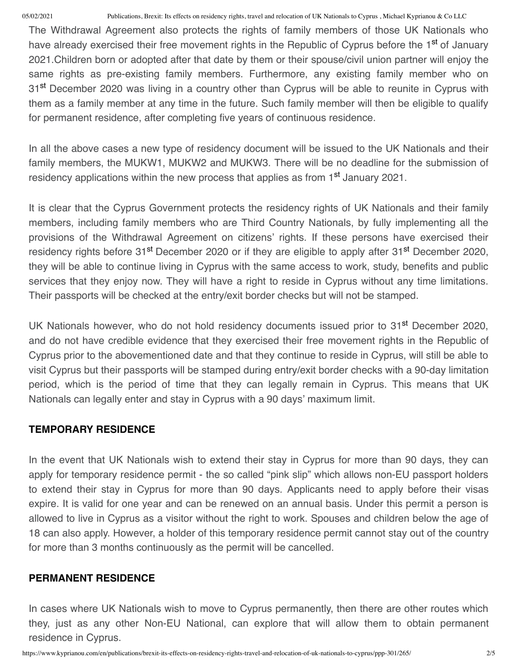The Withdrawal Agreement also protects the rights of family members of those UK Nationals who have already exercised their free movement rights in the Republic of Cyprus before the 1<sup>st</sup> of January 2021.Children born or adopted after that date by them or their spouse/civil union partner will enjoy the same rights as pre-existing family members. Furthermore, any existing family member who on 31<sup>st</sup> December 2020 was living in a country other than Cyprus will be able to reunite in Cyprus with them as a family member at any time in the future. Such family member will then be eligible to qualify for permanent residence, after completing five years of continuous residence.

In all the above cases a new type of residency document will be issued to the UK Nationals and their family members, the MUKW1, MUKW2 and MUKW3. There will be no deadline for the submission of residency applications within the new process that applies as from 1<sup>st</sup> January 2021.

It is clear that the Cyprus Government protects the residency rights of UK Nationals and their family members, including family members who are Third Country Nationals, by fully implementing all the provisions of the Withdrawal Agreement on citizens' rights. If these persons have exercised their residency rights before 31<sup>st</sup> December 2020 or if they are eligible to apply after 31<sup>st</sup> December 2020, they will be able to continue living in Cyprus with the same access to work, study, benefits and public services that they enjoy now. They will have a right to reside in Cyprus without any time limitations. Their passports will be checked at the entry/exit border checks but will not be stamped.

UK Nationals however, who do not hold residency documents issued prior to 31<sup>st</sup> December 2020, and do not have credible evidence that they exercised their free movement rights in the Republic of Cyprus prior to the abovementioned date and that they continue to reside in Cyprus, will still be able to visit Cyprus but their passports will be stamped during entry/exit border checks with a 90-day limitation period, which is the period of time that they can legally remain in Cyprus. This means that UK Nationals can legally enter and stay in Cyprus with a 90 days' maximum limit.

## **TEMPORARY RESIDENCE**

In the event that UK Nationals wish to extend their stay in Cyprus for more than 90 days, they can apply for temporary residence permit - the so called "pink slip" which allows non-EU passport holders to extend their stay in Cyprus for more than 90 days. Applicants need to apply before their visas expire. It is valid for one year and can be renewed on an annual basis. Under this permit a person is allowed to live in Cyprus as a visitor without the right to work. Spouses and children below the age of 18 can also apply. However, a holder of this temporary residence permit cannot stay out of the country for more than 3 months continuously as the permit will be cancelled.

## **PERMANENT RESIDENCE**

In cases where UK Nationals wish to move to Cyprus permanently, then there are other routes which they, just as any other Non-EU National, can explore that will allow them to obtain permanent residence in Cyprus.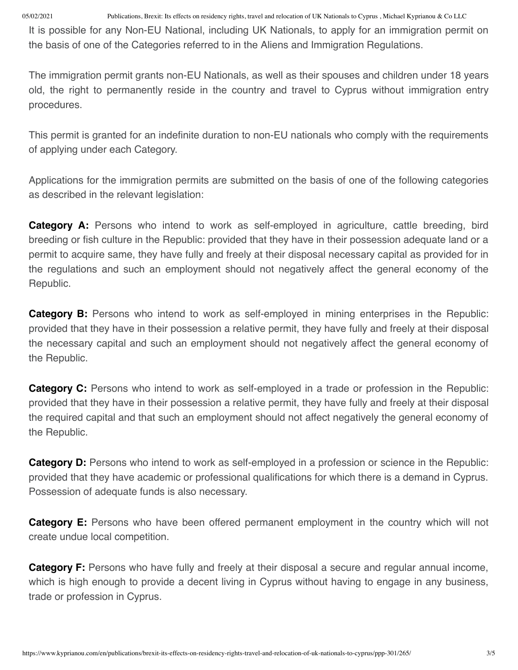It is possible for any Non-EU National, including UK Nationals, to apply for an immigration permit on the basis of one of the Categories referred to in the Aliens and Immigration Regulations.

The immigration permit grants non-EU Nationals, as well as their spouses and children under 18 years old, the right to permanently reside in the country and travel to Cyprus without immigration entry procedures.

This permit is granted for an indefinite duration to non-EU nationals who comply with the requirements of applying under each Category.

Applications for the immigration permits are submitted on the basis of one of the following categories as described in the relevant legislation:

**Category A:** Persons who intend to work as self-employed in agriculture, cattle breeding, bird breeding or fish culture in the Republic: provided that they have in their possession adequate land or a permit to acquire same, they have fully and freely at their disposal necessary capital as provided for in the regulations and such an employment should not negatively affect the general economy of the Republic.

**Category B:** Persons who intend to work as self-employed in mining enterprises in the Republic: provided that they have in their possession a relative permit, they have fully and freely at their disposal the necessary capital and such an employment should not negatively affect the general economy of the Republic.

**Category C:** Persons who intend to work as self-employed in a trade or profession in the Republic: provided that they have in their possession a relative permit, they have fully and freely at their disposal the required capital and that such an employment should not affect negatively the general economy of the Republic.

**Category D:** Persons who intend to work as self-employed in a profession or science in the Republic: provided that they have academic or professional qualifications for which there is a demand in Cyprus. Possession of adequate funds is also necessary.

**Category E:** Persons who have been offered permanent employment in the country which will not create undue local competition.

**Category F:** Persons who have fully and freely at their disposal a secure and regular annual income, which is high enough to provide a decent living in Cyprus without having to engage in any business, trade or profession in Cyprus.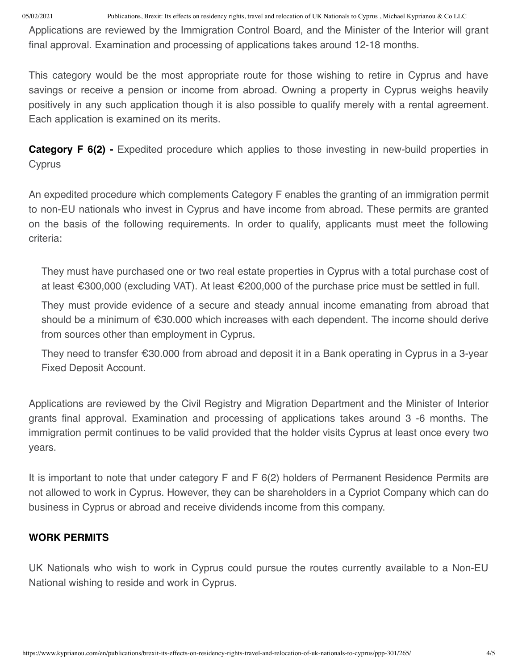Applications are reviewed by the Immigration Control Board, and the Minister of the Interior will grant final approval. Examination and processing of applications takes around 12-18 months.

This category would be the most appropriate route for those wishing to retire in Cyprus and have savings or receive a pension or income from abroad. Owning a property in Cyprus weighs heavily positively in any such application though it is also possible to qualify merely with a rental agreement. Each application is examined on its merits.

**Category F 6(2)** - Expedited procedure which applies to those investing in new-build properties in **Cyprus** 

An expedited procedure which complements Category F enables the granting of an immigration permit to non-EU nationals who invest in Cyprus and have income from abroad. These permits are granted on the basis of the following requirements. In order to qualify, applicants must meet the following criteria:

They must have purchased one or two real estate properties in Cyprus with a total purchase cost of at least €300,000 (excluding VAT). At least €200,000 of the purchase price must be settled in full.

They must provide evidence of a secure and steady annual income emanating from abroad that should be a minimum of €30.000 which increases with each dependent. The income should derive from sources other than employment in Cyprus.

They need to transfer €30.000 from abroad and deposit it in a Bank operating in Cyprus in a 3-year Fixed Deposit Account.

Applications are reviewed by the Civil Registry and Migration Department and the Minister of Interior grants final approval. Examination and processing of applications takes around 3 -6 months. The immigration permit continues to be valid provided that the holder visits Cyprus at least once every two years.

It is important to note that under category F and F 6(2) holders of Permanent Residence Permits are not allowed to work in Cyprus. However, they can be shareholders in a Cypriot Company which can do business in Cyprus or abroad and receive dividends income from this company.

## **WORK PERMITS**

UK Nationals who wish to work in Cyprus could pursue the routes currently available to a Non-EU National wishing to reside and work in Cyprus.